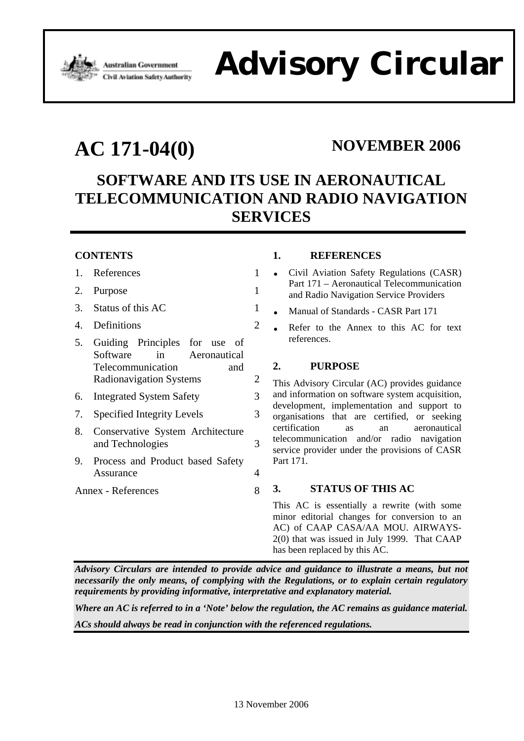

# Advisor Government **Advisor Circular**

# AC 171-04(0) NOVEMBER 2006

## **SOFTWARE AND ITS USE IN AERONAUTICAL TELECOMMUNICATION AND RADIO NAVIGATION SERVICES**

### **CONTENTS**

- 1. References 1
- 2. Purpose 1
- 3. Status of this AC 1
- 4. Definitions 2
- 5. Guiding Principles for use of Software in Aeronautical Telecommunication and Radionavigation Systems 2
- 6. Integrated System Safety 3
- 7. Specified Integrity Levels 3
- 8. Conservative System Architecture and Technologies 3
- 9. Process and Product based Safety Assurance 4
- Annex References 8

#### **1. REFERENCES**

- Civil Aviation Safety Regulations (CASR) Part 171 – Aeronautical Telecommunication and Radio Navigation Service Providers
- Manual of Standards CASR Part 171
- Refer to the Annex to this AC for text references.

#### **2. PURPOSE**

This Advisory Circular (AC) provides guidance and information on software system acquisition, development, implementation and support to organisations that are certified, or seeking certification as an aeronautical telecommunication and/or radio navigation service provider under the provisions of CASR Part 171.

#### **3. STATUS OF THIS AC**

This AC is essentially a rewrite (with some minor editorial changes for conversion to an AC) of CAAP CASA/AA MOU. AIRWAYS-2(0) that was issued in July 1999. That CAAP has been replaced by this AC.

*Advisory Circulars are intended to provide advice and guidance to illustrate a means, but not necessarily the only means, of complying with the Regulations, or to explain certain regulatory requirements by providing informative, interpretative and explanatory material.* 

*Where an AC is referred to in a 'Note' below the regulation, the AC remains as guidance material. ACs should always be read in conjunction with the referenced regulations.*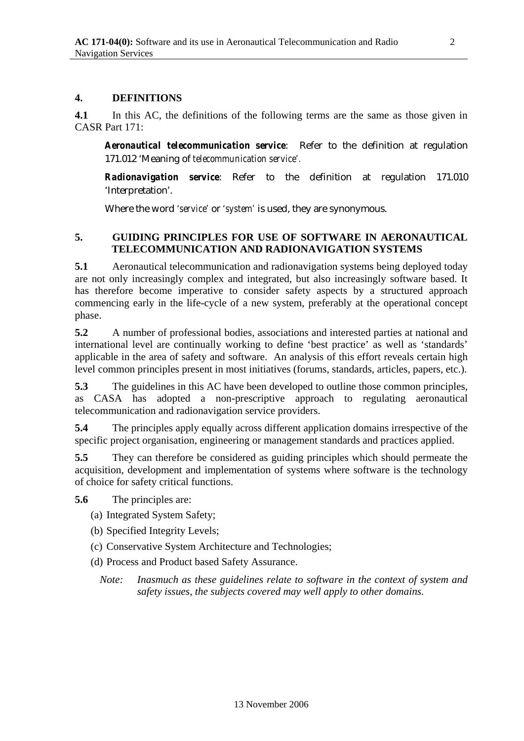#### **4. DEFINITIONS**

**4.1** In this AC, the definitions of the following terms are the same as those given in CASR Part 171:

*Aeronautical telecommunication service*: Refer to the definition at regulation 171.012 'Meaning of *telecommunication service'.*

*Radionavigation service*: Refer to the definition at regulation 171.010 'Interpretation'.

Where the word *'service'* or *'system'* is used, they are synonymous.

#### **5. GUIDING PRINCIPLES FOR USE OF SOFTWARE IN AERONAUTICAL TELECOMMUNICATION AND RADIONAVIGATION SYSTEMS**

**5.1** Aeronautical telecommunication and radionavigation systems being deployed today are not only increasingly complex and integrated, but also increasingly software based. It has therefore become imperative to consider safety aspects by a structured approach commencing early in the life-cycle of a new system, preferably at the operational concept phase.

**5.2** A number of professional bodies, associations and interested parties at national and international level are continually working to define 'best practice' as well as 'standards' applicable in the area of safety and software. An analysis of this effort reveals certain high level common principles present in most initiatives (forums, standards, articles, papers, etc.).

**5.3** The guidelines in this AC have been developed to outline those common principles, as CASA has adopted a non-prescriptive approach to regulating aeronautical telecommunication and radionavigation service providers.

**5.4** The principles apply equally across different application domains irrespective of the specific project organisation, engineering or management standards and practices applied.

**5.5** They can therefore be considered as guiding principles which should permeate the acquisition, development and implementation of systems where software is the technology of choice for safety critical functions.

**5.6** The principles are:

(a) Integrated System Safety;

(b) Specified Integrity Levels;

(c) Conservative System Architecture and Technologies;

(d) Process and Product based Safety Assurance.

*Note: Inasmuch as these guidelines relate to software in the context of system and safety issues, the subjects covered may well apply to other domains.*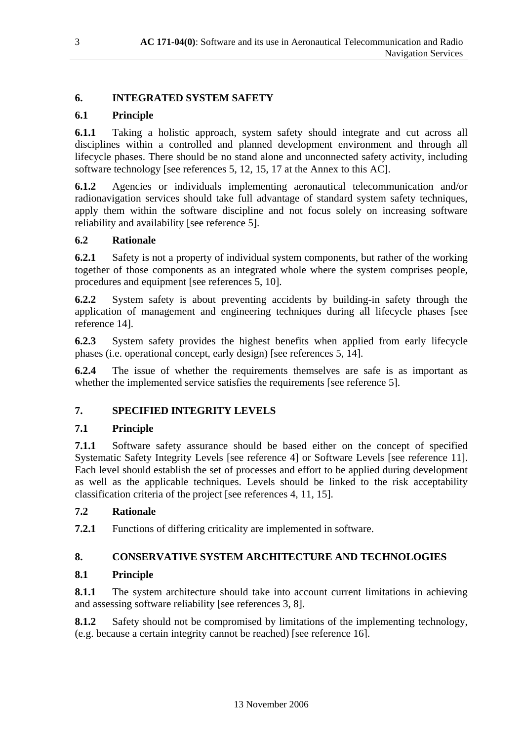#### **6. INTEGRATED SYSTEM SAFETY**

### **6.1 Principle**

**6.1.1** Taking a holistic approach, system safety should integrate and cut across all disciplines within a controlled and planned development environment and through all lifecycle phases. There should be no stand alone and unconnected safety activity, including software technology [see references 5, 12, 15, 17 at the Annex to this AC].

**6.1.2** Agencies or individuals implementing aeronautical telecommunication and/or radionavigation services should take full advantage of standard system safety techniques, apply them within the software discipline and not focus solely on increasing software reliability and availability [see reference 5].

#### **6.2 Rationale**

**6.2.1** Safety is not a property of individual system components, but rather of the working together of those components as an integrated whole where the system comprises people, procedures and equipment [see references 5, 10].

**6.2.2** System safety is about preventing accidents by building-in safety through the application of management and engineering techniques during all lifecycle phases [see reference 14].

**6.2.3** System safety provides the highest benefits when applied from early lifecycle phases (i.e. operational concept, early design) [see references 5, 14].

**6.2.4** The issue of whether the requirements themselves are safe is as important as whether the implemented service satisfies the requirements [see reference 5].

#### **7. SPECIFIED INTEGRITY LEVELS**

#### **7.1 Principle**

**7.1.1** Software safety assurance should be based either on the concept of specified Systematic Safety Integrity Levels [see reference 4] or Software Levels [see reference 11]. Each level should establish the set of processes and effort to be applied during development as well as the applicable techniques. Levels should be linked to the risk acceptability classification criteria of the project [see references 4, 11, 15].

#### **7.2 Rationale**

**7.2.1** Functions of differing criticality are implemented in software.

#### **8. CONSERVATIVE SYSTEM ARCHITECTURE AND TECHNOLOGIES**

#### **8.1 Principle**

**8.1.1** The system architecture should take into account current limitations in achieving and assessing software reliability [see references 3, 8].

**8.1.2** Safety should not be compromised by limitations of the implementing technology, (e.g. because a certain integrity cannot be reached) [see reference 16].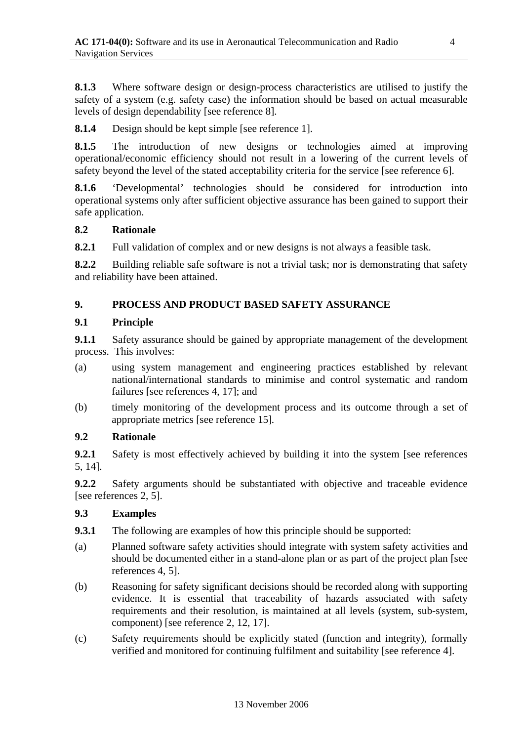**8.1.3** Where software design or design-process characteristics are utilised to justify the safety of a system (e.g. safety case) the information should be based on actual measurable levels of design dependability [see reference 8].

**8.1.4** Design should be kept simple [see reference 1].

**8.1.5** The introduction of new designs or technologies aimed at improving operational/economic efficiency should not result in a lowering of the current levels of safety beyond the level of the stated acceptability criteria for the service [see reference 6].

**8.1.6** 'Developmental' technologies should be considered for introduction into operational systems only after sufficient objective assurance has been gained to support their safe application.

#### **8.2 Rationale**

**8.2.1** Full validation of complex and or new designs is not always a feasible task.

**8.2.2** Building reliable safe software is not a trivial task; nor is demonstrating that safety and reliability have been attained.

#### **9. PROCESS AND PRODUCT BASED SAFETY ASSURANCE**

#### **9.1 Principle**

**9.1.1** Safety assurance should be gained by appropriate management of the development process. This involves:

- (a) using system management and engineering practices established by relevant national/international standards to minimise and control systematic and random failures [see references 4, 17]; and
- (b) timely monitoring of the development process and its outcome through a set of appropriate metrics [see reference 15]*.*

#### **9.2 Rationale**

**9.2.1** Safety is most effectively achieved by building it into the system [see references 5, 14].

**9.2.2** Safety arguments should be substantiated with objective and traceable evidence [see references 2, 5].

#### **9.3 Examples**

- **9.3.1** The following are examples of how this principle should be supported:
- (a) Planned software safety activities should integrate with system safety activities and should be documented either in a stand-alone plan or as part of the project plan [see references 4, 5].
- (b) Reasoning for safety significant decisions should be recorded along with supporting evidence. It is essential that traceability of hazards associated with safety requirements and their resolution, is maintained at all levels (system, sub-system, component) [see reference 2, 12, 17].
- (c) Safety requirements should be explicitly stated (function and integrity), formally verified and monitored for continuing fulfilment and suitability [see reference 4].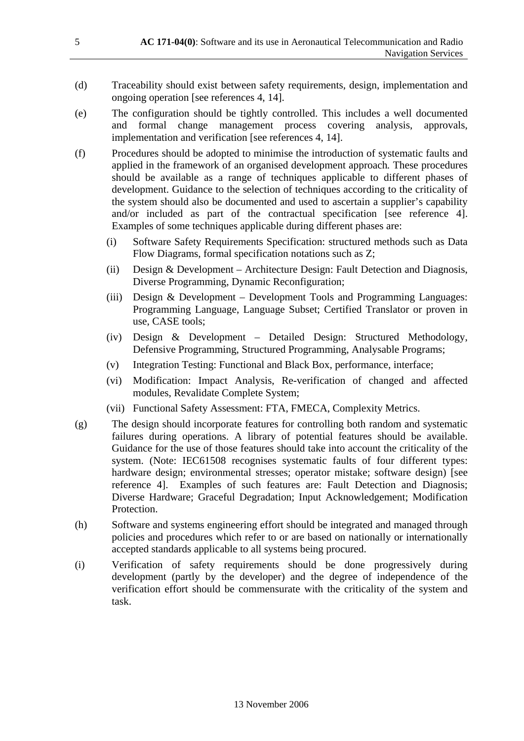- (d) Traceability should exist between safety requirements, design, implementation and ongoing operation [see references 4, 14].
- (e) The configuration should be tightly controlled. This includes a well documented and formal change management process covering analysis, approvals, implementation and verification [see references 4, 14].
- (f) Procedures should be adopted to minimise the introduction of systematic faults and applied in the framework of an organised development approach*.* These procedures should be available as a range of techniques applicable to different phases of development. Guidance to the selection of techniques according to the criticality of the system should also be documented and used to ascertain a supplier's capability and/or included as part of the contractual specification [see reference 4]. Examples of some techniques applicable during different phases are:
	- (i) Software Safety Requirements Specification: structured methods such as Data Flow Diagrams, formal specification notations such as Z;
	- (ii) Design & Development Architecture Design: Fault Detection and Diagnosis, Diverse Programming, Dynamic Reconfiguration;
	- (iii) Design & Development Development Tools and Programming Languages: Programming Language, Language Subset; Certified Translator or proven in use, CASE tools;
	- (iv) Design & Development Detailed Design: Structured Methodology, Defensive Programming, Structured Programming, Analysable Programs;
	- (v) Integration Testing: Functional and Black Box, performance, interface;
	- (vi) Modification: Impact Analysis, Re-verification of changed and affected modules, Revalidate Complete System;
	- (vii) Functional Safety Assessment: FTA, FMECA, Complexity Metrics.
- (g) The design should incorporate features for controlling both random and systematic failures during operations. A library of potential features should be available. Guidance for the use of those features should take into account the criticality of the system. (Note: IEC61508 recognises systematic faults of four different types: hardware design; environmental stresses; operator mistake; software design) [see reference 4]. Examples of such features are: Fault Detection and Diagnosis; Diverse Hardware; Graceful Degradation; Input Acknowledgement; Modification Protection.
- (h) Software and systems engineering effort should be integrated and managed through policies and procedures which refer to or are based on nationally or internationally accepted standards applicable to all systems being procured.
- (i) Verification of safety requirements should be done progressively during development (partly by the developer) and the degree of independence of the verification effort should be commensurate with the criticality of the system and task.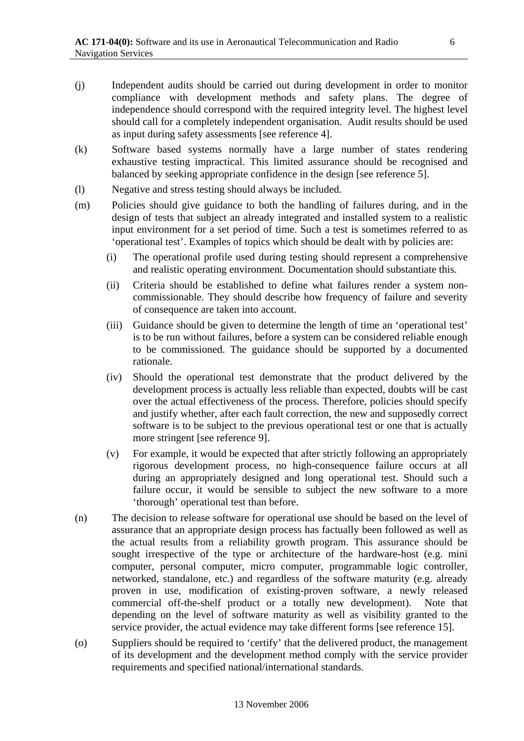- (j) Independent audits should be carried out during development in order to monitor compliance with development methods and safety plans. The degree of independence should correspond with the required integrity level. The highest level should call for a completely independent organisation. Audit results should be used as input during safety assessments [see reference 4].
- (k) Software based systems normally have a large number of states rendering exhaustive testing impractical. This limited assurance should be recognised and balanced by seeking appropriate confidence in the design [see reference 5].
- (l) Negative and stress testing should always be included.
- (m) Policies should give guidance to both the handling of failures during, and in the design of tests that subject an already integrated and installed system to a realistic input environment for a set period of time. Such a test is sometimes referred to as 'operational test'. Examples of topics which should be dealt with by policies are:
	- (i) The operational profile used during testing should represent a comprehensive and realistic operating environment. Documentation should substantiate this.
	- (ii) Criteria should be established to define what failures render a system noncommissionable. They should describe how frequency of failure and severity of consequence are taken into account.
	- (iii) Guidance should be given to determine the length of time an 'operational test' is to be run without failures, before a system can be considered reliable enough to be commissioned. The guidance should be supported by a documented rationale.
	- (iv) Should the operational test demonstrate that the product delivered by the development process is actually less reliable than expected, doubts will be cast over the actual effectiveness of the process. Therefore, policies should specify and justify whether, after each fault correction, the new and supposedly correct software is to be subject to the previous operational test or one that is actually more stringent [see reference 9].
	- (v) For example, it would be expected that after strictly following an appropriately rigorous development process, no high-consequence failure occurs at all during an appropriately designed and long operational test. Should such a failure occur, it would be sensible to subject the new software to a more 'thorough' operational test than before.
- (n) The decision to release software for operational use should be based on the level of assurance that an appropriate design process has factually been followed as well as the actual results from a reliability growth program. This assurance should be sought irrespective of the type or architecture of the hardware-host (e.g. mini computer, personal computer, micro computer, programmable logic controller, networked, standalone, etc.) and regardless of the software maturity (e.g. already proven in use, modification of existing-proven software, a newly released commercial off-the-shelf product or a totally new development). Note that depending on the level of software maturity as well as visibility granted to the service provider, the actual evidence may take different forms [see reference 15].
- (o) Suppliers should be required to 'certify' that the delivered product, the management of its development and the development method comply with the service provider requirements and specified national/international standards.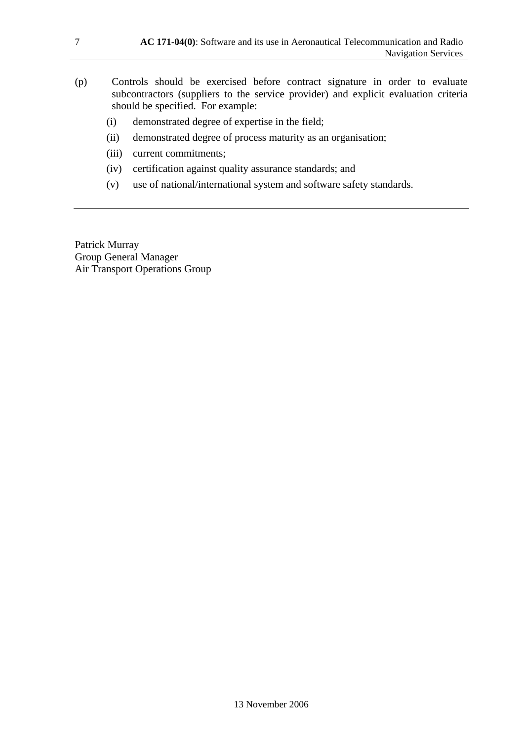- (p) Controls should be exercised before contract signature in order to evaluate subcontractors (suppliers to the service provider) and explicit evaluation criteria should be specified. For example:
	- (i) demonstrated degree of expertise in the field;
	- (ii) demonstrated degree of process maturity as an organisation;
	- (iii) current commitments;
	- (iv) certification against quality assurance standards; and
	- (v) use of national/international system and software safety standards.

Patrick Murray Group General Manager Air Transport Operations Group